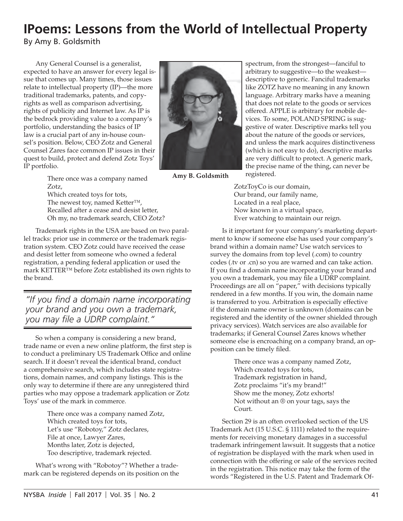## **IPoems: Lessons from the World of Intellectual Property**

By Amy B. Goldsmith

Any General Counsel is a generalist, expected to have an answer for every legal issue that comes up. Many times, those issues relate to intellectual property (IP)—the more traditional trademarks, patents, and copyrights as well as comparison advertising, rights of publicity and Internet law. As IP is the bedrock providing value to a company's portfolio, understanding the basics of IP law is a crucial part of any in-house counsel's position. Below, CEO Zotz and General Counsel Zares face common IP issues in their quest to build, protect and defend Zotz Toys' IP portfolio.



**Amy B. Goldsmith**

spectrum, from the strongest—fanciful to arbitrary to suggestive—to the weakest descriptive to generic. Fanciful trademarks like ZOTZ have no meaning in any known language. Arbitrary marks have a meaning that does not relate to the goods or services offered. APPLE is arbitrary for mobile devices. To some, POLAND SPRING is suggestive of water. Descriptive marks tell you about the nature of the goods or services, and unless the mark acquires distinctiveness (which is not easy to do), descriptive marks are very difficult to protect. A generic mark, the precise name of the thing, can never be registered.

There once was a company named Zotz, Which created toys for tots,

The newest toy, named Ketter™, Recalled after a cease and desist letter, Oh my, no trademark search, CEO Zotz?

Trademark rights in the USA are based on two parallel tracks: prior use in commerce or the trademark registration system. CEO Zotz could have received the cease and desist letter from someone who owned a federal registration, a pending federal application or used the mark KETTER™ before Zotz established its own rights to the brand.

*"If you find a domain name incorporating your brand and you own a trademark, you may file a UDRP complaint."*

So when a company is considering a new brand, trade name or even a new online platform, the first step is to conduct a preliminary US Trademark Office and online search. If it doesn't reveal the identical brand, conduct a comprehensive search, which includes state registrations, domain names, and company listings. This is the only way to determine if there are any unregistered third parties who may oppose a trademark application or Zotz Toys' use of the mark in commerce.

> There once was a company named Zotz, Which created toys for tots, Let's use "Robotoy," Zotz declares, File at once, Lawyer Zares, Months later, Zotz is dejected, Too descriptive, trademark rejected.

What's wrong with "Robotoy"? Whether a trademark can be registered depends on its position on the ZotzToyCo is our domain, Our brand, our family name, Located in a real place, Now known in a virtual space, Ever watching to maintain our reign.

Is it important for your company's marketing department to know if someone else has used your company's brand within a domain name? Use watch services to survey the domains from top level (.com) to country codes (.tv or .cn) so you are warned and can take action. If you find a domain name incorporating your brand and you own a trademark, you may file a UDRP complaint. Proceedings are all on "paper," with decisions typically rendered in a few months. If you win, the domain name is transferred to you. Arbitration is especially effective if the domain name owner is unknown (domains can be registered and the identity of the owner shielded through privacy services). Watch services are also available for trademarks; if General Counsel Zares knows whether someone else is encroaching on a company brand, an opposition can be timely filed.

> There once was a company named Zotz, Which created toys for tots, Trademark registration in hand, Zotz proclaims "it's my brand!" Show me the money, Zotz exhorts! Not without an ® on your tags, says the Court.

Section 29 is an often overlooked section of the US Trademark Act (15 U.S.C. § 1111) related to the requirements for receiving monetary damages in a successful trademark infringement lawsuit. It suggests that a notice of registration be displayed with the mark when used in connection with the offering or sale of the services recited in the registration. This notice may take the form of the words "Registered in the U.S. Patent and Trademark Of-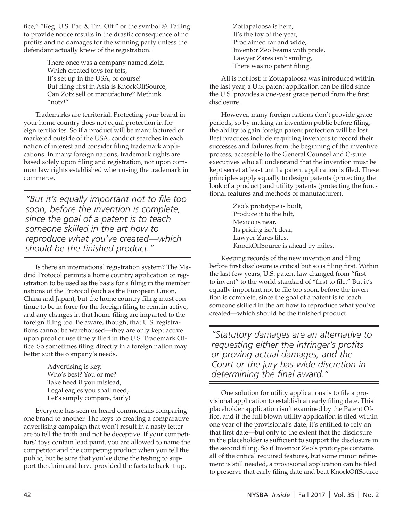fice," "Reg. U.S. Pat. & Tm. Off." or the symbol ®. Failing to provide notice results in the drastic consequence of no profits and no damages for the winning party unless the defendant actually knew of the registration.

> There once was a company named Zotz, Which created toys for tots, It's set up in the USA, of course! But filing first in Asia is KnockOffSource, Can Zotz sell or manufacture? Methink "notz!"

Trademarks are territorial. Protecting your brand in your home country does not equal protection in foreign territories. So if a product will be manufactured or marketed outside of the USA, conduct searches in each nation of interest and consider filing trademark applications. In many foreign nations, trademark rights are based solely upon filing and registration, not upon common law rights established when using the trademark in commerce.

*"But it's equally important not to file too soon, before the invention is complete, since the goal of a patent is to teach someone skilled in the art how to reproduce what you've created—which should be the finished product."*

Is there an international registration system? The Madrid Protocol permits a home country application or registration to be used as the basis for a filing in the member nations of the Protocol (such as the European Union, China and Japan), but the home country filing must continue to be in force for the foreign filing to remain active, and any changes in that home filing are imparted to the foreign filing too. Be aware, though, that U.S. registrations cannot be warehoused—they are only kept active upon proof of use timely filed in the U.S. Trademark Office. So sometimes filing directly in a foreign nation may better suit the company's needs.

> Advertising is key, Who's best? You or me? Take heed if you mislead, Legal eagles you shall need, Let's simply compare, fairly!

Everyone has seen or heard commercials comparing one brand to another. The keys to creating a comparative advertising campaign that won't result in a nasty letter are to tell the truth and not be deceptive. If your competitors' toys contain lead paint, you are allowed to name the competitor and the competing product when you tell the public, but be sure that you've done the testing to support the claim and have provided the facts to back it up.

Zottapaloosa is here, It's the toy of the year, Proclaimed far and wide, Inventor Zeo beams with pride, Lawyer Zares isn't smiling, There was no patent filing.

All is not lost: if Zottapaloosa was introduced within the last year, a U.S. patent application can be filed since the U.S. provides a one-year grace period from the first disclosure.

However, many foreign nations don't provide grace periods, so by making an invention public before filing, the ability to gain foreign patent protection will be lost. Best practices include requiring inventors to record their successes and failures from the beginning of the inventive process, accessible to the General Counsel and C-suite executives who all understand that the invention must be kept secret at least until a patent application is filed. These principles apply equally to design patents (protecting the look of a product) and utility patents (protecting the functional features and methods of manufacturer).

> Zeo's prototype is built, Produce it to the hilt, Mexico is near, Its pricing isn't dear, Lawyer Zares files, KnockOffSource is ahead by miles.

Keeping records of the new invention and filing before first disclosure is critical but so is filing first. Within the last few years, U.S. patent law changed from "first to invent" to the world standard of "first to file." But it's equally important not to file too soon, before the invention is complete, since the goal of a patent is to teach someone skilled in the art how to reproduce what you've created—which should be the finished product.

*"Statutory damages are an alternative to requesting either the infringer's profits or proving actual damages, and the Court or the jury has wide discretion in determining the final award."*

One solution for utility applications is to file a provisional application to establish an early filing date. This placeholder application isn't examined by the Patent Office, and if the full blown utility application is filed within one year of the provisional's date, it's entitled to rely on that first date—but only to the extent that the disclosure in the placeholder is sufficient to support the disclosure in the second filing. So if Inventor Zeo's prototype contains all of the critical required features, but some minor refinement is still needed, a provisional application can be filed to preserve that early filing date and beat KnockOffSource